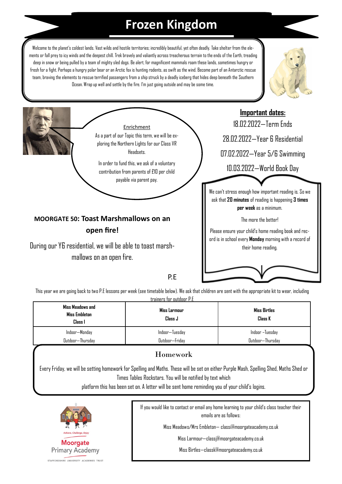## **Frozen Kingdom**

Welcome to the planet's coldest lands. Vast wilds and hostile territories; incredibly beautiful, yet often deadly. Take shelter from the elements or fall prey to icy winds and the deepest chill. Trek bravely and valiantly across treacherous terrain to the ends of the Earth, treading deep in snow or being pulled by a team of mighty sled dogs. Be alert, for magnificent mammals roam these lands, sometimes hungryor fresh for a fight. Perhaps a hungry polar bear or an Arctic fox is hunting rodents, as swift as the wind. Become part of an Antarctic rescue team, braving the elements to rescue terrified passengers from a ship struck by a deadly iceberg that hides deep beneath the Southern Ocean. Wrap up well and settle by the fire. I'm just going outside and may be some time.





During our Y6 residential, we will be able to toast marshmallows on an open fire.

Please ensure your child's home reading book and record is in school every **Monday** morning with a record of their home reading.

## P.E

This year we are going back to two P.E lessons per week (see timetable below). We ask that children are sent with the appropriate kit to wear, including trainers for outdoor P.E

| Miss Meadows and<br>Miss Embleton<br>Class I | Miss Larmour<br>Class J | <b>Miss Birtles</b><br>Class K |
|----------------------------------------------|-------------------------|--------------------------------|
| Indoor—Monday                                | Indoor—Tuesday          | Indoor –Tuesday                |
| Outdoor—Thursday                             | Outdoor-Fridav          | Outdoor—Thursday               |

## Homework

Every Friday, we will be setting homework for Spelling and Maths. These will be set on either Purple Mash, Spelling Shed, Maths Shed or Times Tables Rockstars. You will be notified by text which

platform this has been set on. A letter will be sent home reminding you of your child's logins.



If you would like to contact or email any home learning to your child's class teacher their emails are as follows:

Miss Meadows/Mrs Embleton— classi@moorgateacademy.co.uk

Miss Larmour—classj@moorgateacademy.co.uk

Miss Birtles—classk@moorgateacademy.co.uk